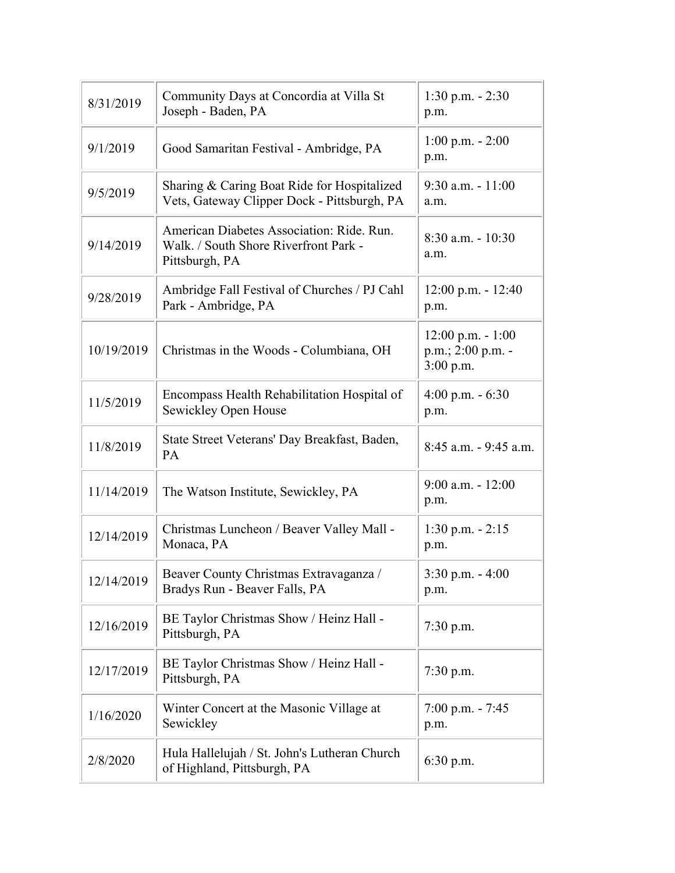| 8/31/2019  | Community Days at Concordia at Villa St<br>Joseph - Baden, PA                                        | $1:30$ p.m. $-2:30$<br>p.m.                              |
|------------|------------------------------------------------------------------------------------------------------|----------------------------------------------------------|
| 9/1/2019   | Good Samaritan Festival - Ambridge, PA                                                               | $1:00$ p.m. $-2:00$<br>p.m.                              |
| 9/5/2019   | Sharing & Caring Boat Ride for Hospitalized<br>Vets, Gateway Clipper Dock - Pittsburgh, PA           | $9:30$ a.m. $-11:00$<br>a.m.                             |
| 9/14/2019  | American Diabetes Association: Ride. Run.<br>Walk. / South Shore Riverfront Park -<br>Pittsburgh, PA | $8:30$ a.m. $-10:30$<br>a.m.                             |
| 9/28/2019  | Ambridge Fall Festival of Churches / PJ Cahl<br>Park - Ambridge, PA                                  | $12:00$ p.m. $- 12:40$<br>p.m.                           |
| 10/19/2019 | Christmas in the Woods - Columbiana, OH                                                              | $12:00$ p.m. $-1:00$<br>p.m.; 2:00 p.m. -<br>$3:00$ p.m. |
| 11/5/2019  | Encompass Health Rehabilitation Hospital of<br>Sewickley Open House                                  | $4:00$ p.m. $-6:30$<br>p.m.                              |
| 11/8/2019  | State Street Veterans' Day Breakfast, Baden,<br>PA                                                   | 8:45 a.m. - 9:45 a.m.                                    |
| 11/14/2019 | The Watson Institute, Sewickley, PA                                                                  | $9:00$ a.m. $-12:00$<br>p.m.                             |
| 12/14/2019 | Christmas Luncheon / Beaver Valley Mall -<br>Monaca, PA                                              | $1:30$ p.m. $-2:15$<br>p.m.                              |
| 12/14/2019 | Beaver County Christmas Extravaganza /<br>Bradys Run - Beaver Falls, PA                              | 3:30 p.m. - 4:00<br>p.m.                                 |
| 12/16/2019 | BE Taylor Christmas Show / Heinz Hall -<br>Pittsburgh, PA                                            | $7:30$ p.m.                                              |
| 12/17/2019 | BE Taylor Christmas Show / Heinz Hall -<br>Pittsburgh, PA                                            | $7:30$ p.m.                                              |
| 1/16/2020  | Winter Concert at the Masonic Village at<br>Sewickley                                                | $7:00$ p.m. $-7:45$<br>p.m.                              |
| 2/8/2020   | Hula Hallelujah / St. John's Lutheran Church<br>of Highland, Pittsburgh, PA                          | 6:30 p.m.                                                |